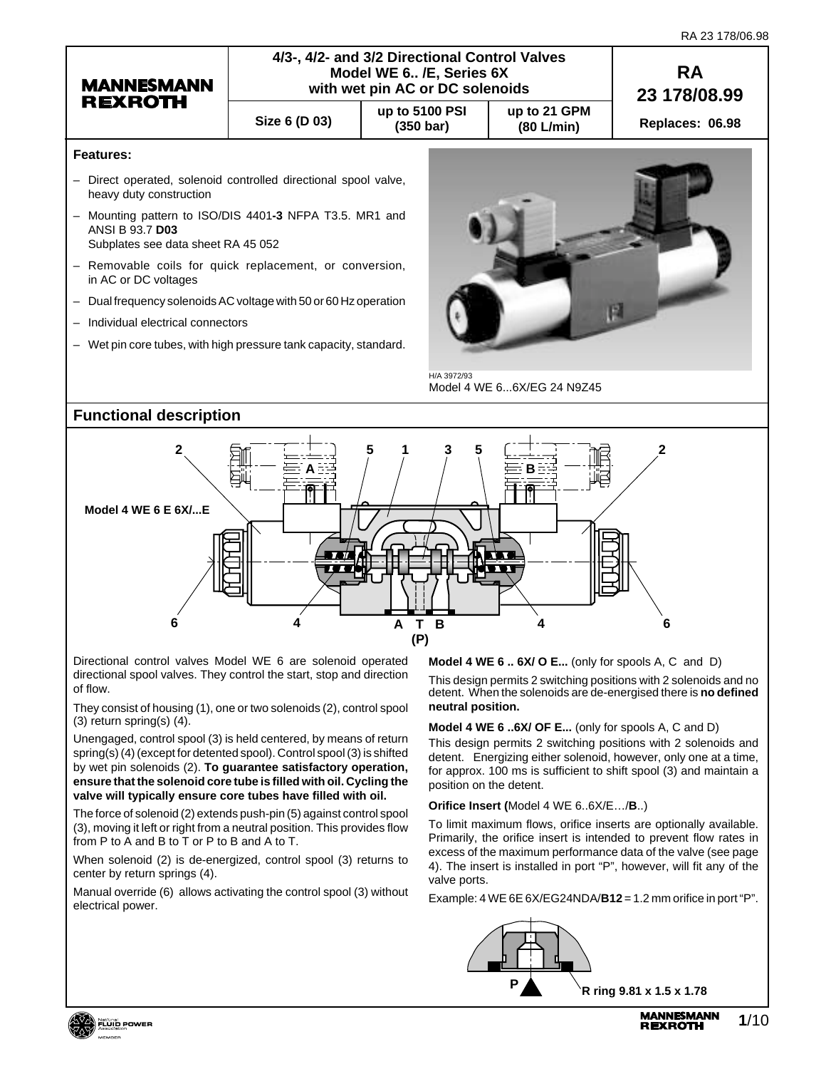| RA 23 178/06.98 |  |
|-----------------|--|
|-----------------|--|



Directional control valves Model WE 6 are solenoid operated directional spool valves. They control the start, stop and direction of flow.

They consist of housing (1), one or two solenoids (2), control spool (3) return spring(s) (4).

Unengaged, control spool (3) is held centered, by means of return spring(s) (4) (except for detented spool). Control spool (3) is shifted by wet pin solenoids (2). **To guarantee satisfactory operation, ensure that the solenoid core tube is filled with oil. Cycling the valve will typically ensure core tubes have filled with oil.**

The force of solenoid (2) extends push-pin (5) against control spool (3), moving it left or right from a neutral position. This provides flow from P to A and B to T or P to B and A to T.

When solenoid (2) is de-energized, control spool (3) returns to center by return springs (4).

Manual override (6) allows activating the control spool (3) without electrical power.

**Model 4 WE 6 .. 6X/ O E...** (only for spools A, C and D)

This design permits 2 switching positions with 2 solenoids and no detent. When the solenoids are de-energised there is **no defined neutral position.**

**Model 4 WE 6 ..6X/ OF E...** (only for spools A, C and D)

This design permits 2 switching positions with 2 solenoids and detent. Energizing either solenoid, however, only one at a time, for approx. 100 ms is sufficient to shift spool (3) and maintain a position on the detent.

**Orifice Insert (**Model 4 WE 6..6X/E…/**B**..)

To limit maximum flows, orifice inserts are optionally available. Primarily, the orifice insert is intended to prevent flow rates in excess of the maximum performance data of the valve (see page 4). The insert is installed in port "P", however, will fit any of the valve ports.

Example: 4 WE 6E 6X/EG24NDA/**B12** = 1.2 mm orifice in port "P".



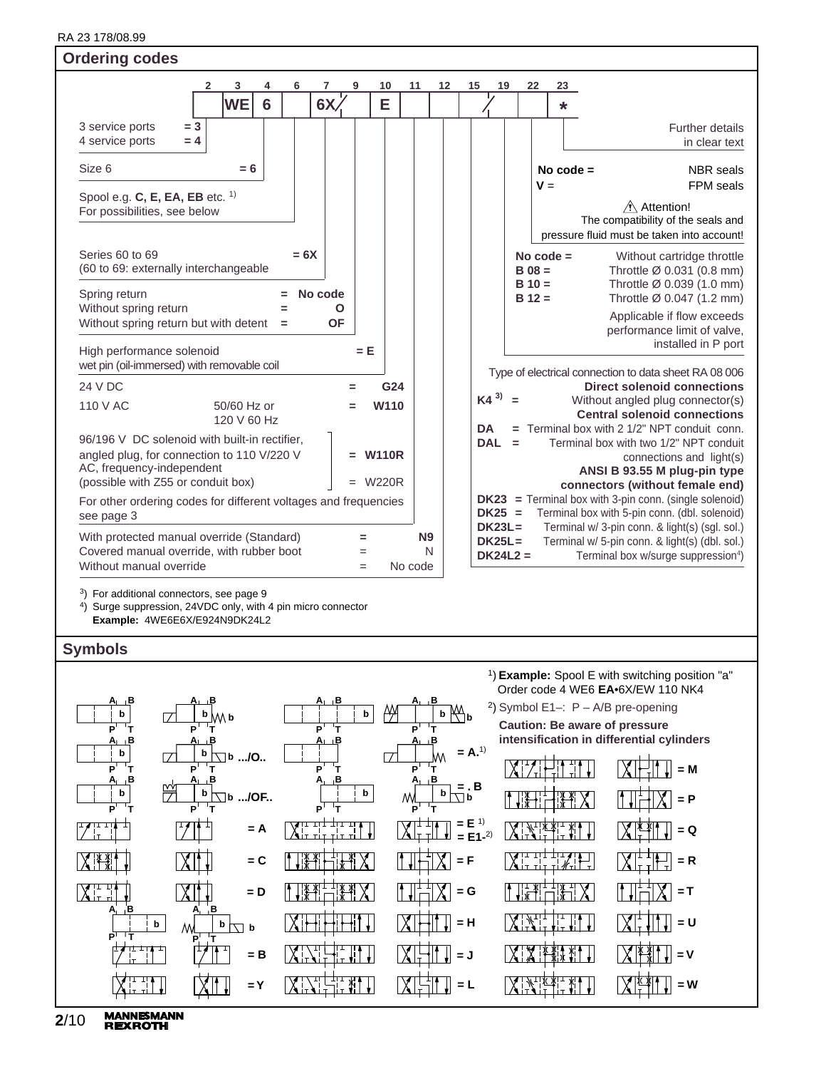RA 23 178/06.98 RA 23 178/08.99

| <b>Ordering codes</b>                                                                                                                                          |                                           |                |                                      |                          |                                                                                                                                                     |
|----------------------------------------------------------------------------------------------------------------------------------------------------------------|-------------------------------------------|----------------|--------------------------------------|--------------------------|-----------------------------------------------------------------------------------------------------------------------------------------------------|
| 3<br>$\mathbf{2}$<br>4<br>6<br><b>WE</b><br>6                                                                                                                  | $\overline{7}$<br>9<br>10<br>6X<br>E      | 11<br>12       | 15<br>19                             | 22<br>23<br>$\star$      |                                                                                                                                                     |
| $= 3$<br>3 service ports<br>4 service ports<br>$= 4$                                                                                                           |                                           |                |                                      |                          | Further details<br>in clear text                                                                                                                    |
| Size 6<br>$= 6$                                                                                                                                                |                                           |                |                                      | No code $=$<br>$V =$     | <b>NBR</b> seals<br>FPM seals                                                                                                                       |
| Spool e.g. $C$ , E, EA, EB etc. $1$ )<br>For possibilities, see below                                                                                          |                                           |                |                                      |                          | $\hat{\wedge}$ Attention!<br>The compatibility of the seals and<br>pressure fluid must be taken into account!                                       |
| Series 60 to 69<br>$= 6X$<br>(60 to 69: externally interchangeable                                                                                             |                                           |                |                                      | No code $=$<br>$B$ 08 =  | Without cartridge throttle<br>Throttle Ø 0.031 (0.8 mm)                                                                                             |
| Spring return<br>Without spring return<br>$=$                                                                                                                  | No code<br>Ο                              |                |                                      | $B = 10 =$<br>$B = 12 =$ | Throttle Ø 0.039 (1.0 mm)<br>Throttle Ø 0.047 (1.2 mm)                                                                                              |
| Without spring return but with detent<br>$\equiv$                                                                                                              | <b>OF</b>                                 |                |                                      |                          | Applicable if flow exceeds<br>performance limit of valve,<br>installed in P port                                                                    |
| High performance solenoid<br>wet pin (oil-immersed) with removable coil                                                                                        | $= E$                                     |                |                                      |                          | Type of electrical connection to data sheet RA 08 006                                                                                               |
| 24 V DC                                                                                                                                                        | G24<br>Ξ.                                 |                |                                      |                          | <b>Direct solenoid connections</b>                                                                                                                  |
| 110 V AC<br>50/60 Hz or<br>120 V 60 Hz                                                                                                                         | W110<br>Ξ                                 |                | $K4^{3)} =$<br><b>DA</b>             |                          | Without angled plug connector(s)<br><b>Central solenoid connections</b><br>$=$ Terminal box with 2 1/2" NPT conduit conn.                           |
| 96/196 V DC solenoid with built-in rectifier,<br>angled plug, for connection to 110 V/220 V<br>AC, frequency-independent<br>(possible with Z55 or conduit box) | <b>W110R</b><br>Ξ.<br><b>W220R</b><br>$=$ |                | <b>DAL</b>                           | $\equiv$                 | Terminal box with two 1/2" NPT conduit<br>connections and light(s)<br>ANSI B 93.55 M plug-pin type<br>connectors (without female end)               |
| For other ordering codes for different voltages and frequencies<br>see page 3                                                                                  |                                           |                | $DK25 =$                             |                          | $DK23$ = Terminal box with 3-pin conn. (single solenoid)<br>Terminal box with 5-pin conn. (dbl. solenoid)                                           |
| With protected manual override (Standard)<br>Covered manual override, with rubber boot<br>Without manual override                                              | $\equiv$<br>$=$<br>No code<br>$=$         | <b>N9</b><br>N | $DK23L =$<br>$DK25L =$<br>$DK24L2 =$ |                          | Terminal w/ 3-pin conn. & light(s) (sgl. sol.)<br>Terminal w/ 5-pin conn. & light(s) (dbl. sol.)<br>Terminal box w/surge suppression <sup>4</sup> ) |

3) For additional connectors, see page 9

4) Surge suppression, 24VDC only, with 4 pin micro connector **Example:** 4WE6E6X/E924N9DK24L2

# **Symbols**



**MANNESMANN<br>REXROTH 2**/10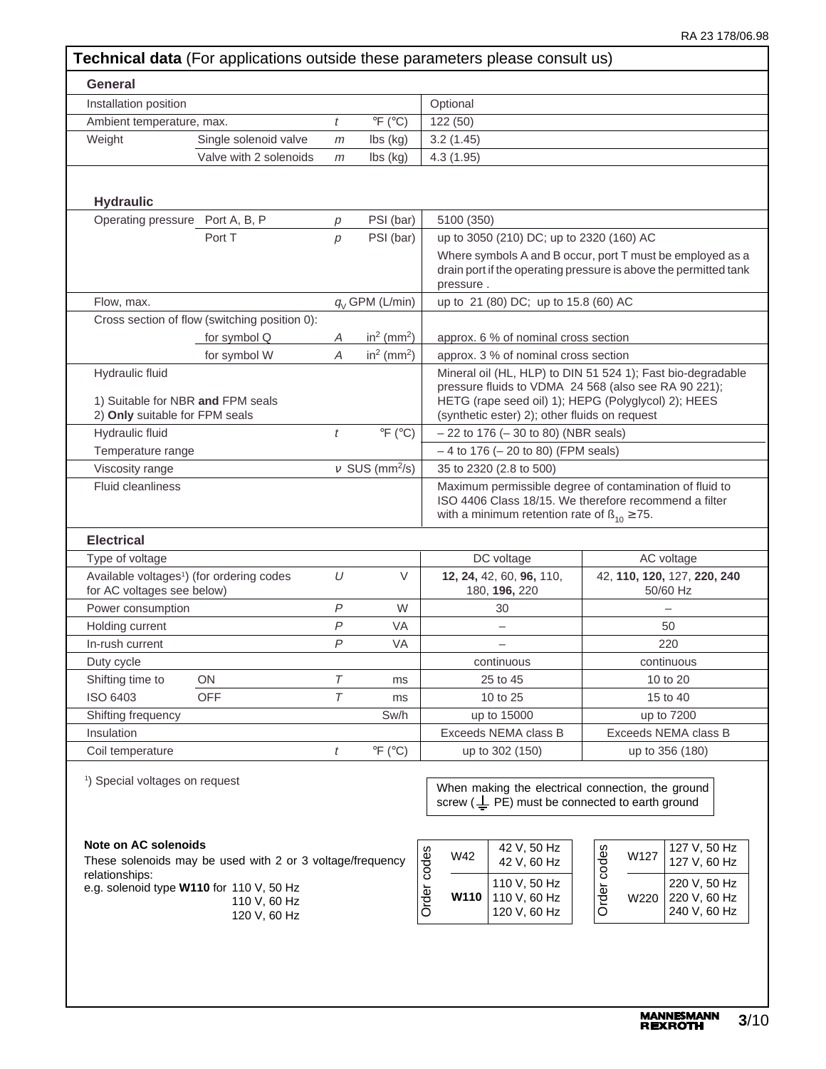| Installation position<br>Optional<br>$\circ$ F ( $\circ$ C)<br>122 (50)<br>Ambient temperature, max.<br>t<br>Weight<br>3.2(1.45)<br>Single solenoid valve<br>lbs (kg)<br>m<br>Valve with 2 solenoids<br>lbs (kg)<br>4.3(1.95)<br>m<br><b>Hydraulic</b><br>Operating pressure Port A, B, P<br>PSI (bar)<br>5100 (350)<br>р<br>Port T<br>PSI (bar)<br>p<br>pressure.<br>Flow, max.<br>$q_{\text{V}}$ GPM (L/min)<br>Cross section of flow (switching position 0):<br>in <sup>2</sup> (mm <sup>2</sup> )<br>for symbol Q<br>Α<br>$in2$ (mm <sup>2</sup> )<br>for symbol W<br>$\overline{A}$<br>Hydraulic fluid<br>1) Suitable for NBR and FPM seals<br>2) Only suitable for FPM seals<br>Hydraulic fluid<br>$\circ$ F ( $\circ$ C)<br>t<br>Temperature range<br>$v$ SUS (mm <sup>2</sup> /s)<br>Viscosity range<br><b>Fluid cleanliness</b><br><b>Electrical</b><br>Type of voltage<br>Available voltages <sup>1</sup> ) (for ordering codes<br>U<br>V<br>for AC voltages see below)<br>$\overline{P}$<br>W<br>Power consumption<br>P<br><b>VA</b><br>Holding current<br>P<br><b>VA</b><br>In-rush current<br>Duty cycle<br>Shifting time to<br>ON<br>Τ<br>ms<br>$\tau$<br><b>OFF</b><br>ISO 6403<br>ms<br>Sw/h<br>Shifting frequency<br>Insulation<br>$\circ$ F ( $\circ$ C)<br>Coil temperature<br>t<br><sup>1</sup> ) Special voltages on request<br><b>Note on AC solenoids</b><br>Order codes<br>W42<br>These solenoids may be used with 2 or 3 voltage/frequency<br>relationships: |                                                                                                                                                                                                                             |                             |                                                              |
|---------------------------------------------------------------------------------------------------------------------------------------------------------------------------------------------------------------------------------------------------------------------------------------------------------------------------------------------------------------------------------------------------------------------------------------------------------------------------------------------------------------------------------------------------------------------------------------------------------------------------------------------------------------------------------------------------------------------------------------------------------------------------------------------------------------------------------------------------------------------------------------------------------------------------------------------------------------------------------------------------------------------------------------------------------------------------------------------------------------------------------------------------------------------------------------------------------------------------------------------------------------------------------------------------------------------------------------------------------------------------------------------------------------------------------------------------------------------------------------|-----------------------------------------------------------------------------------------------------------------------------------------------------------------------------------------------------------------------------|-----------------------------|--------------------------------------------------------------|
|                                                                                                                                                                                                                                                                                                                                                                                                                                                                                                                                                                                                                                                                                                                                                                                                                                                                                                                                                                                                                                                                                                                                                                                                                                                                                                                                                                                                                                                                                       |                                                                                                                                                                                                                             |                             |                                                              |
|                                                                                                                                                                                                                                                                                                                                                                                                                                                                                                                                                                                                                                                                                                                                                                                                                                                                                                                                                                                                                                                                                                                                                                                                                                                                                                                                                                                                                                                                                       |                                                                                                                                                                                                                             |                             |                                                              |
|                                                                                                                                                                                                                                                                                                                                                                                                                                                                                                                                                                                                                                                                                                                                                                                                                                                                                                                                                                                                                                                                                                                                                                                                                                                                                                                                                                                                                                                                                       |                                                                                                                                                                                                                             |                             |                                                              |
|                                                                                                                                                                                                                                                                                                                                                                                                                                                                                                                                                                                                                                                                                                                                                                                                                                                                                                                                                                                                                                                                                                                                                                                                                                                                                                                                                                                                                                                                                       |                                                                                                                                                                                                                             |                             |                                                              |
|                                                                                                                                                                                                                                                                                                                                                                                                                                                                                                                                                                                                                                                                                                                                                                                                                                                                                                                                                                                                                                                                                                                                                                                                                                                                                                                                                                                                                                                                                       |                                                                                                                                                                                                                             |                             |                                                              |
|                                                                                                                                                                                                                                                                                                                                                                                                                                                                                                                                                                                                                                                                                                                                                                                                                                                                                                                                                                                                                                                                                                                                                                                                                                                                                                                                                                                                                                                                                       |                                                                                                                                                                                                                             |                             |                                                              |
|                                                                                                                                                                                                                                                                                                                                                                                                                                                                                                                                                                                                                                                                                                                                                                                                                                                                                                                                                                                                                                                                                                                                                                                                                                                                                                                                                                                                                                                                                       | up to 3050 (210) DC; up to 2320 (160) AC                                                                                                                                                                                    |                             |                                                              |
|                                                                                                                                                                                                                                                                                                                                                                                                                                                                                                                                                                                                                                                                                                                                                                                                                                                                                                                                                                                                                                                                                                                                                                                                                                                                                                                                                                                                                                                                                       | Where symbols A and B occur, port T must be employed as a<br>drain port if the operating pressure is above the permitted tank                                                                                               |                             |                                                              |
|                                                                                                                                                                                                                                                                                                                                                                                                                                                                                                                                                                                                                                                                                                                                                                                                                                                                                                                                                                                                                                                                                                                                                                                                                                                                                                                                                                                                                                                                                       | up to 21 (80) DC; up to 15.8 (60) AC                                                                                                                                                                                        |                             |                                                              |
|                                                                                                                                                                                                                                                                                                                                                                                                                                                                                                                                                                                                                                                                                                                                                                                                                                                                                                                                                                                                                                                                                                                                                                                                                                                                                                                                                                                                                                                                                       |                                                                                                                                                                                                                             |                             |                                                              |
|                                                                                                                                                                                                                                                                                                                                                                                                                                                                                                                                                                                                                                                                                                                                                                                                                                                                                                                                                                                                                                                                                                                                                                                                                                                                                                                                                                                                                                                                                       | approx. 6 % of nominal cross section                                                                                                                                                                                        |                             |                                                              |
|                                                                                                                                                                                                                                                                                                                                                                                                                                                                                                                                                                                                                                                                                                                                                                                                                                                                                                                                                                                                                                                                                                                                                                                                                                                                                                                                                                                                                                                                                       | approx. 3 % of nominal cross section                                                                                                                                                                                        |                             |                                                              |
|                                                                                                                                                                                                                                                                                                                                                                                                                                                                                                                                                                                                                                                                                                                                                                                                                                                                                                                                                                                                                                                                                                                                                                                                                                                                                                                                                                                                                                                                                       | Mineral oil (HL, HLP) to DIN 51 524 1); Fast bio-degradable<br>pressure fluids to VDMA 24 568 (also see RA 90 221);<br>HETG (rape seed oil) 1); HEPG (Polyglycol) 2); HEES<br>(synthetic ester) 2); other fluids on request |                             |                                                              |
|                                                                                                                                                                                                                                                                                                                                                                                                                                                                                                                                                                                                                                                                                                                                                                                                                                                                                                                                                                                                                                                                                                                                                                                                                                                                                                                                                                                                                                                                                       | $-22$ to 176 ( $-30$ to 80) (NBR seals)                                                                                                                                                                                     |                             |                                                              |
|                                                                                                                                                                                                                                                                                                                                                                                                                                                                                                                                                                                                                                                                                                                                                                                                                                                                                                                                                                                                                                                                                                                                                                                                                                                                                                                                                                                                                                                                                       | $-4$ to 176 ( $-20$ to 80) (FPM seals)                                                                                                                                                                                      |                             |                                                              |
|                                                                                                                                                                                                                                                                                                                                                                                                                                                                                                                                                                                                                                                                                                                                                                                                                                                                                                                                                                                                                                                                                                                                                                                                                                                                                                                                                                                                                                                                                       | 35 to 2320 (2.8 to 500)                                                                                                                                                                                                     |                             |                                                              |
|                                                                                                                                                                                                                                                                                                                                                                                                                                                                                                                                                                                                                                                                                                                                                                                                                                                                                                                                                                                                                                                                                                                                                                                                                                                                                                                                                                                                                                                                                       | Maximum permissible degree of contamination of fluid to<br>ISO 4406 Class 18/15. We therefore recommend a filter<br>with a minimum retention rate of $\beta_{10} \ge 75$ .                                                  |                             |                                                              |
|                                                                                                                                                                                                                                                                                                                                                                                                                                                                                                                                                                                                                                                                                                                                                                                                                                                                                                                                                                                                                                                                                                                                                                                                                                                                                                                                                                                                                                                                                       |                                                                                                                                                                                                                             |                             |                                                              |
|                                                                                                                                                                                                                                                                                                                                                                                                                                                                                                                                                                                                                                                                                                                                                                                                                                                                                                                                                                                                                                                                                                                                                                                                                                                                                                                                                                                                                                                                                       | DC voltage                                                                                                                                                                                                                  |                             | AC voltage                                                   |
|                                                                                                                                                                                                                                                                                                                                                                                                                                                                                                                                                                                                                                                                                                                                                                                                                                                                                                                                                                                                                                                                                                                                                                                                                                                                                                                                                                                                                                                                                       | 12, 24, 42, 60, 96, 110,<br>180, 196, 220                                                                                                                                                                                   |                             | 42, 110, 120, 127, 220, 240<br>50/60 Hz                      |
|                                                                                                                                                                                                                                                                                                                                                                                                                                                                                                                                                                                                                                                                                                                                                                                                                                                                                                                                                                                                                                                                                                                                                                                                                                                                                                                                                                                                                                                                                       | 30                                                                                                                                                                                                                          |                             |                                                              |
|                                                                                                                                                                                                                                                                                                                                                                                                                                                                                                                                                                                                                                                                                                                                                                                                                                                                                                                                                                                                                                                                                                                                                                                                                                                                                                                                                                                                                                                                                       | $\qquad \qquad -$                                                                                                                                                                                                           |                             | 50                                                           |
|                                                                                                                                                                                                                                                                                                                                                                                                                                                                                                                                                                                                                                                                                                                                                                                                                                                                                                                                                                                                                                                                                                                                                                                                                                                                                                                                                                                                                                                                                       | —                                                                                                                                                                                                                           |                             | 220                                                          |
|                                                                                                                                                                                                                                                                                                                                                                                                                                                                                                                                                                                                                                                                                                                                                                                                                                                                                                                                                                                                                                                                                                                                                                                                                                                                                                                                                                                                                                                                                       | continuous                                                                                                                                                                                                                  |                             | continuous                                                   |
|                                                                                                                                                                                                                                                                                                                                                                                                                                                                                                                                                                                                                                                                                                                                                                                                                                                                                                                                                                                                                                                                                                                                                                                                                                                                                                                                                                                                                                                                                       | 25 to 45                                                                                                                                                                                                                    |                             | 10 to 20                                                     |
|                                                                                                                                                                                                                                                                                                                                                                                                                                                                                                                                                                                                                                                                                                                                                                                                                                                                                                                                                                                                                                                                                                                                                                                                                                                                                                                                                                                                                                                                                       | 10 to 25                                                                                                                                                                                                                    |                             | 15 to 40                                                     |
|                                                                                                                                                                                                                                                                                                                                                                                                                                                                                                                                                                                                                                                                                                                                                                                                                                                                                                                                                                                                                                                                                                                                                                                                                                                                                                                                                                                                                                                                                       | up to 15000                                                                                                                                                                                                                 |                             | up to 7200                                                   |
|                                                                                                                                                                                                                                                                                                                                                                                                                                                                                                                                                                                                                                                                                                                                                                                                                                                                                                                                                                                                                                                                                                                                                                                                                                                                                                                                                                                                                                                                                       | Exceeds NEMA class B                                                                                                                                                                                                        | Exceeds NEMA class B        |                                                              |
|                                                                                                                                                                                                                                                                                                                                                                                                                                                                                                                                                                                                                                                                                                                                                                                                                                                                                                                                                                                                                                                                                                                                                                                                                                                                                                                                                                                                                                                                                       | up to 302 (150)                                                                                                                                                                                                             |                             | up to 356 (180)                                              |
| e.g. solenoid type W110 for 110 V, 50 Hz<br>W110                                                                                                                                                                                                                                                                                                                                                                                                                                                                                                                                                                                                                                                                                                                                                                                                                                                                                                                                                                                                                                                                                                                                                                                                                                                                                                                                                                                                                                      | When making the electrical connection, the ground<br>screw ( $\perp$ PE) must be connected to earth ground<br>42 V, 50 Hz<br>42 V, 60 Hz<br>110 V, 50 Hz<br>110 V, 60 Hz                                                    | Order codes<br>W127<br>W220 | 127 V, 50 Hz<br>127 V, 60 Hz<br>220 V, 50 Hz<br>220 V, 60 Hz |
| 110 V, 60 Hz<br>120 V, 60 Hz                                                                                                                                                                                                                                                                                                                                                                                                                                                                                                                                                                                                                                                                                                                                                                                                                                                                                                                                                                                                                                                                                                                                                                                                                                                                                                                                                                                                                                                          | 120 V, 60 Hz                                                                                                                                                                                                                |                             | 240 V, 60 Hz                                                 |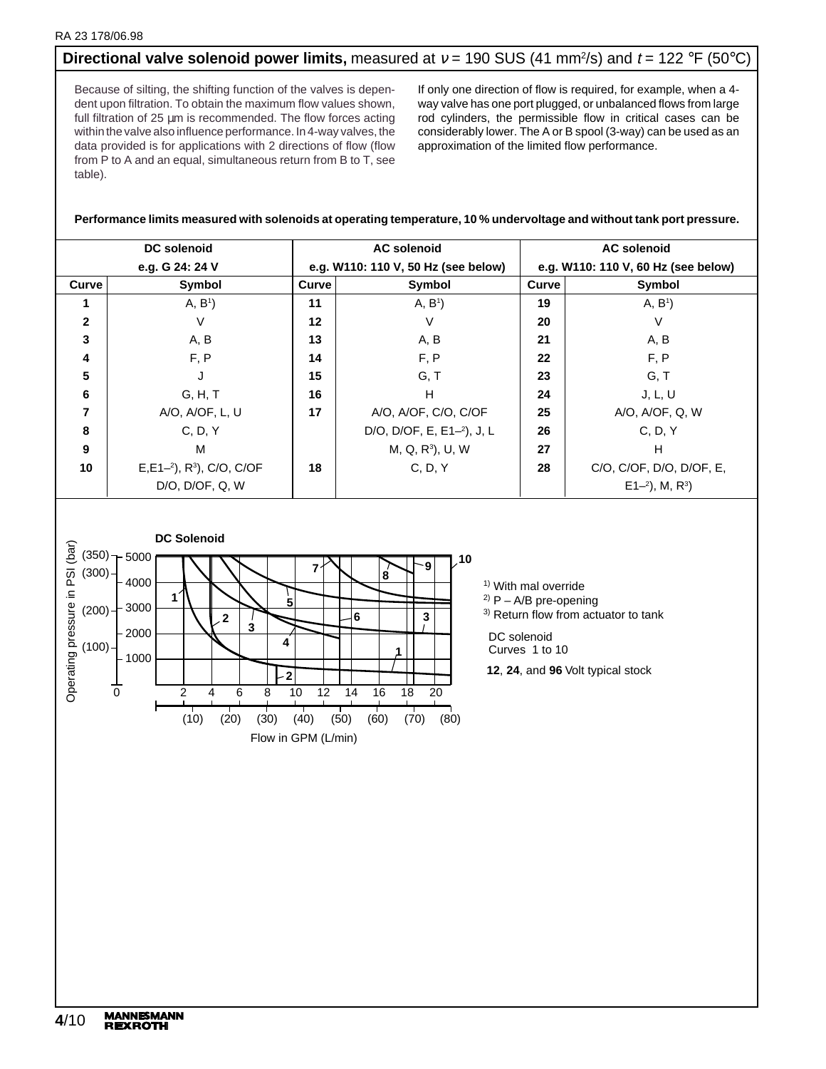# **Directional valve solenoid power limits,** measured at v = 190 SUS (41 mm<sup>2</sup>/s) and t = 122 °F (50°C)

Because of silting, the shifting function of the valves is dependent upon filtration. To obtain the maximum flow values shown, full filtration of 25 µm is recommended. The flow forces acting within the valve also influence performance. In 4-way valves, the data provided is for applications with 2 directions of flow (flow from P to A and an equal, simultaneous return from B to T, see table).

If only one direction of flow is required, for example, when a 4 way valve has one port plugged, or unbalanced flows from large rod cylinders, the permissible flow in critical cases can be considerably lower. The A or B spool (3-way) can be used as an approximation of the limited flow performance.

### **Performance limits measured with solenoids at operating temperature, 10 % undervoltage and without tank port pressure.**

| <b>DC</b> solenoid |                                         |    | <b>AC solenoid</b>                  | <b>AC solenoid</b>                  |                          |  |  |
|--------------------|-----------------------------------------|----|-------------------------------------|-------------------------------------|--------------------------|--|--|
| e.g. G 24: 24 V    |                                         |    | e.g. W110: 110 V, 50 Hz (see below) | e.g. W110: 110 V, 60 Hz (see below) |                          |  |  |
| Curve              | Symbol                                  |    | Symbol<br>Curve                     |                                     | Symbol                   |  |  |
|                    | A, B <sup>1</sup>                       | 11 | A, B <sup>1</sup>                   | 19                                  | A, B <sup>1</sup>        |  |  |
| $\mathbf{2}$       | V                                       | 12 | V                                   | 20                                  | V                        |  |  |
| 3                  | A, B                                    | 13 | A, B                                | 21                                  | A, B                     |  |  |
| 4                  | F, P                                    | 14 | F, P                                | 22                                  | F, P                     |  |  |
| 5                  |                                         | 15 | G, T                                | 23                                  | G, T                     |  |  |
| 6                  | G, H, T                                 | 16 | H                                   | 24                                  | J, L, U                  |  |  |
| 7                  | A/O, A/OF, L, U                         | 17 | A/O, A/OF, C/O, C/OF                | 25                                  | A/O, A/OF, Q, W          |  |  |
| 8                  | C. D. Y                                 |    | D/O, D/OF, E, $E1-2$ ), J, L        | 26                                  | C, D, Y                  |  |  |
| 9                  | м                                       |    | M, Q, R <sup>3</sup> ), U, W        | 27                                  | н                        |  |  |
| 10                 | $E, E1-2$ , R <sup>3</sup> ), C/O, C/OF | 18 | C, D, Y                             | 28                                  | C/O, C/OF, D/O, D/OF, E, |  |  |
|                    | D/O, D/OF, Q, W                         |    |                                     |                                     | $E1-2$ , M, $R^3$ )      |  |  |



<sup>1)</sup> With mal override

 $2)$  P – A/B pre-opening

3) Return flow from actuator to tank

DC solenoid

Curves 1 to 10

**12, 24, and 96 Volt typical stock**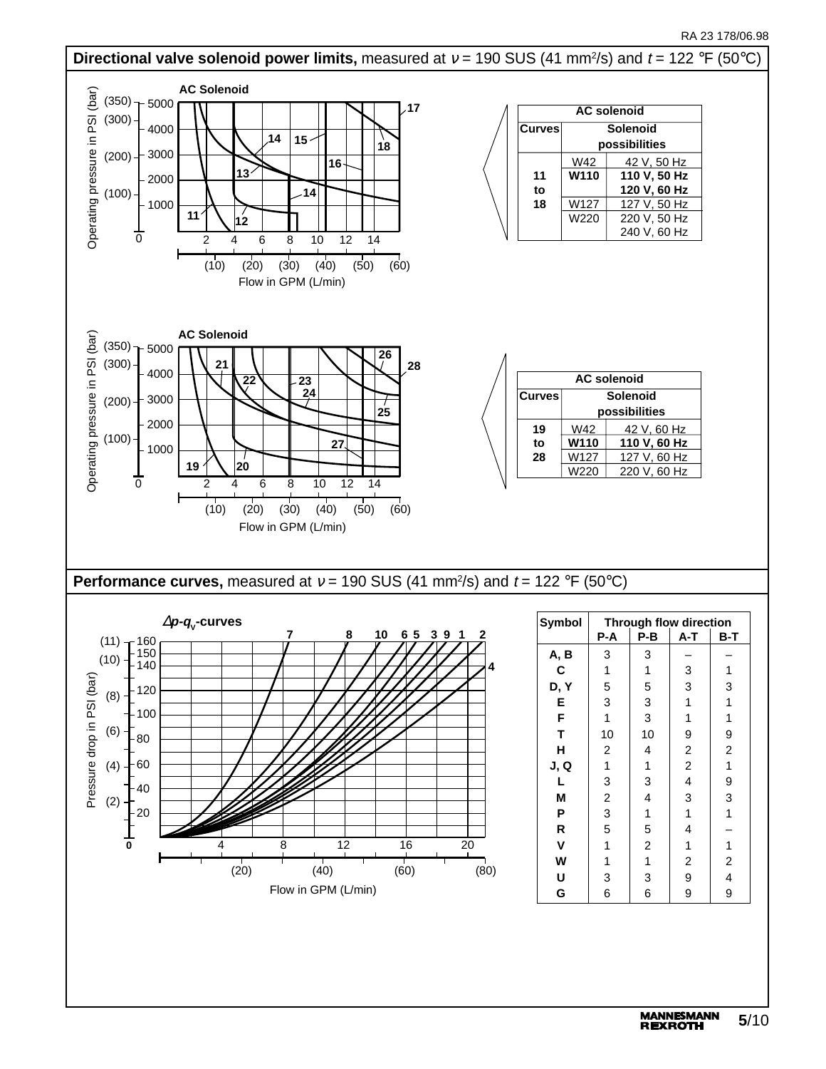### RA 23 178/06.98

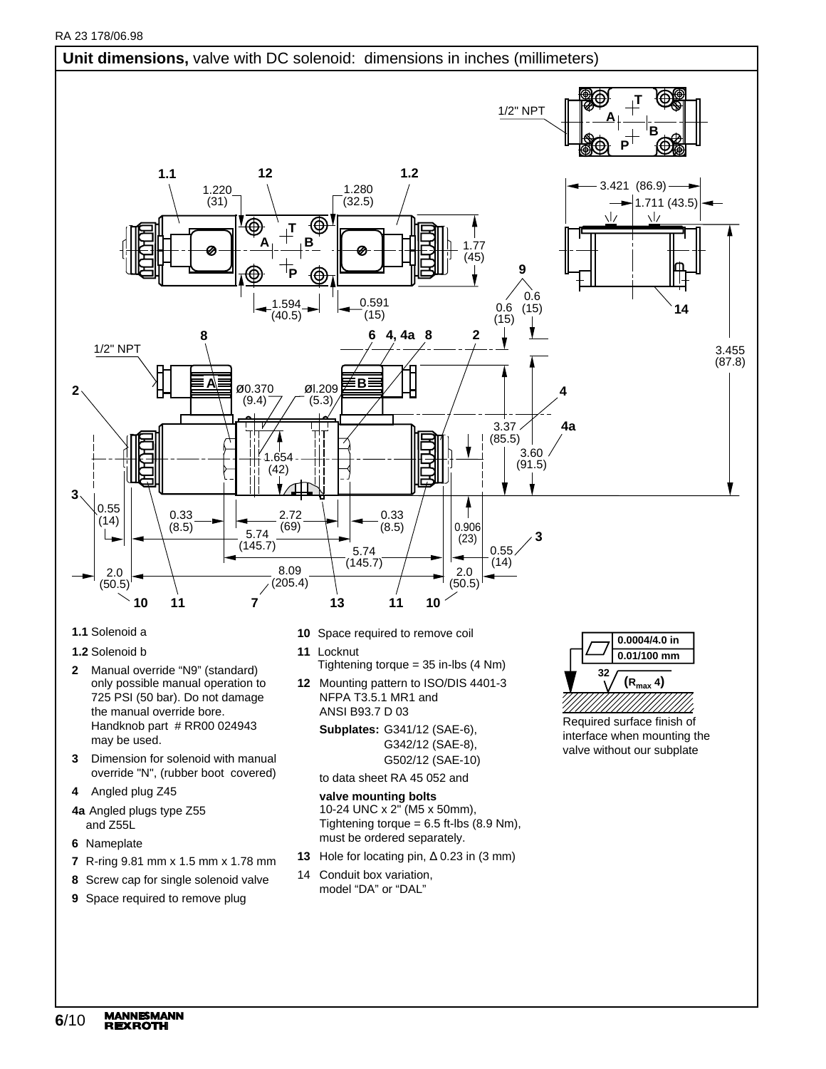

- **2** Manual override "N9" (standard) only possible manual operation to 725 PSI (50 bar). Do not damage the manual override bore. Handknob part # RR00 024943
- **3** Dimension for solenoid with manual override "N", (rubber boot covered)
- **4** Angled plug Z45

may be used.

- **4a** Angled plugs type Z55 and Z55L
- **6** Nameplate
- **7** R-ring 9.81 mm x 1.5 mm x 1.78 mm
- **8** Screw cap for single solenoid valve
- **9** Space required to remove plug
- **11** Locknut Tightening torque = 35 in-lbs (4 Nm)
- **12** Mounting pattern to ISO/DIS 4401-3 NFPA T3.5.1 MR1 and ANSI B93.7 D 03

**Subplates:** G341/12 (SAE-6), G342/12 (SAE-8), G502/12 (SAE-10)

to data sheet RA 45 052 and

### **valve mounting bolts**

10-24 UNC x 2" (M5 x 50mm), Tightening torque =  $6.5$  ft-lbs (8.9 Nm), must be ordered separately.

- **13** Hole for locating pin, ∆ 0.23 in (3 mm)
- 14 Conduit box variation, model "DA" or "DAL"

Required surface finish of **0.01/100 mm 32 (Rmax 4)**

interface when mounting the valve without our subplate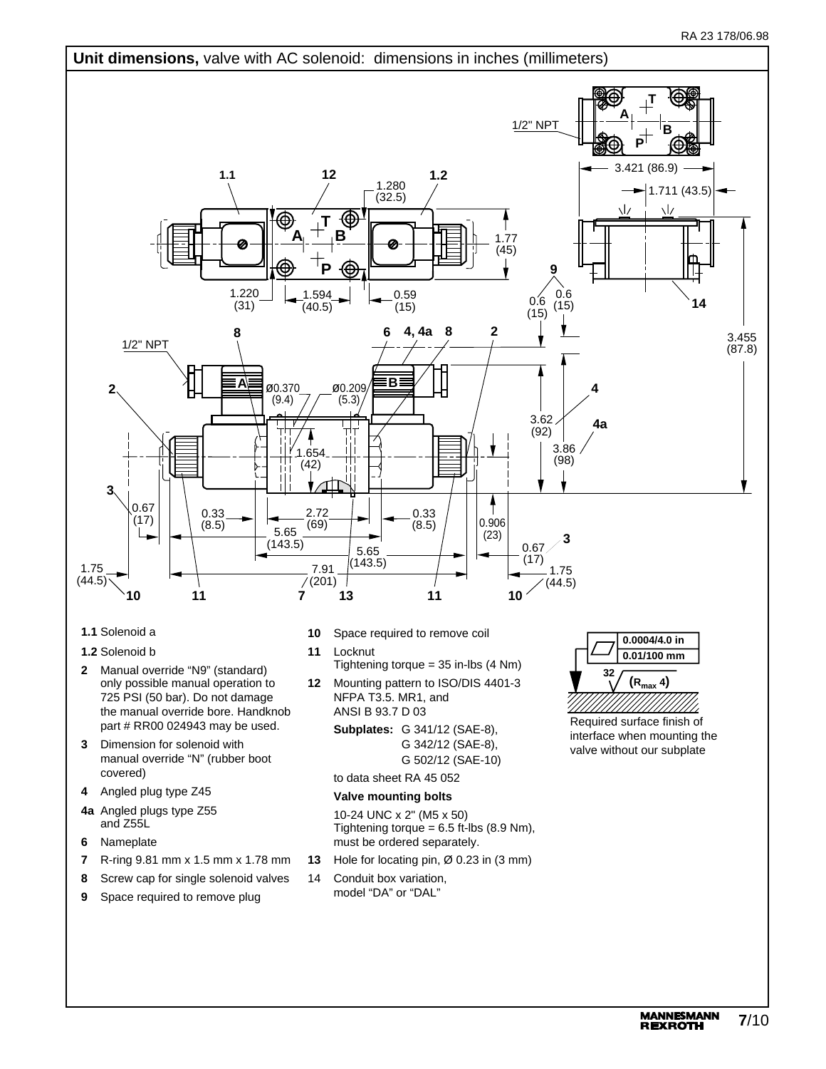

- **1.1** Solenoid a
- **1.2** Solenoid b
- **2** Manual override "N9" (standard) only possible manual operation to 725 PSI (50 bar). Do not damage the manual override bore. Handknob part # RR00 024943 may be used.
- **3** Dimension for solenoid with manual override "N" (rubber boot covered)
- **4** Angled plug type Z45
- **4a** Angled plugs type Z55 and Z55L
- **6** Nameplate
- **7** R-ring 9.81 mm x 1.5 mm x 1.78 mm
- **8** Screw cap for single solenoid valves
- **9** Space required to remove plug
- **10** Space required to remove coil
- **11** Locknut Tightening torque = 35 in-lbs (4 Nm)
- **12** Mounting pattern to ISO/DIS 4401-3 NFPA T3.5. MR1, and ANSI B 93.7 D 03

**Subplates:** G 341/12 (SAE-8), G 342/12 (SAE-8), G 502/12 (SAE-10)

# to data sheet RA 45 052

# **Valve mounting bolts**

10-24 UNC x 2" (M5 x 50) Tightening torque =  $6.5$  ft-lbs (8.9 Nm), must be ordered separately.

- **13** Hole for locating pin, Ø 0.23 in (3 mm)
- 14 Conduit box variation, model "DA" or "DAL"

**0.0004/4.0 in 0.01/100 mm 32 (Rmax 4)**

Required surface finish of interface when mounting the valve without our subplate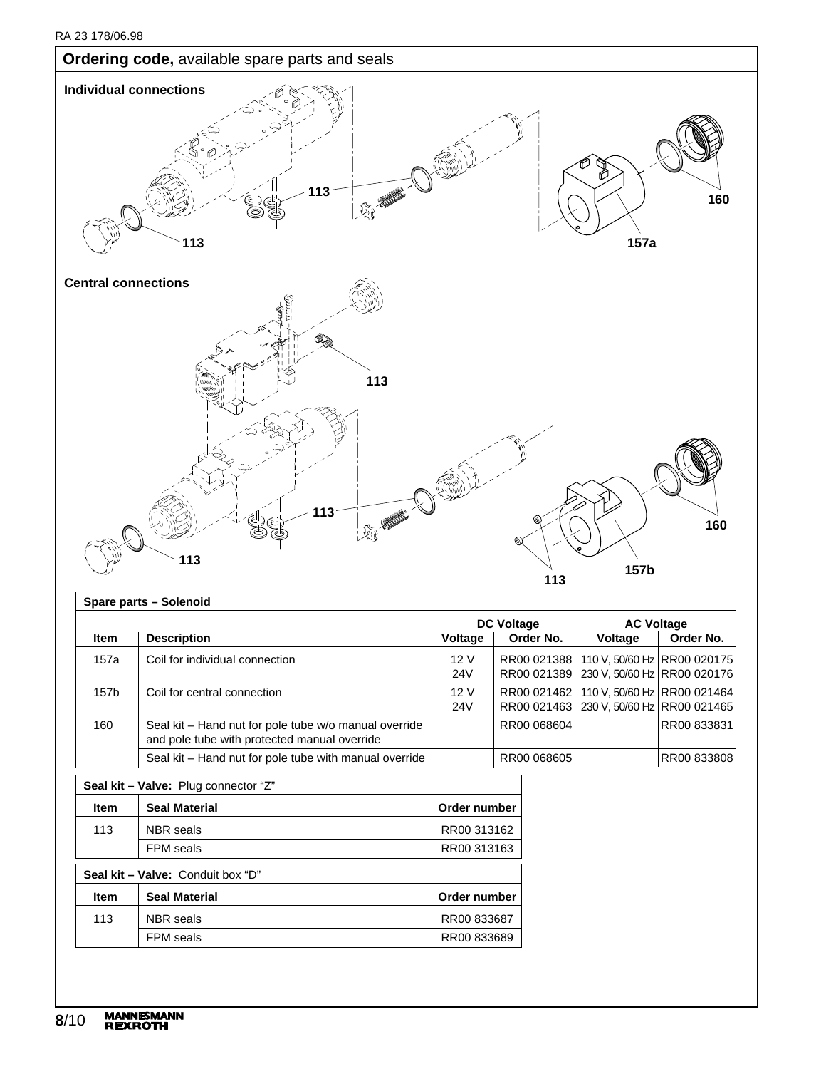

|             |                                                                                                       |            | <b>DC Voltage</b> | <b>AC Voltage</b>                                                          |             |  |
|-------------|-------------------------------------------------------------------------------------------------------|------------|-------------------|----------------------------------------------------------------------------|-------------|--|
| <b>Item</b> | <b>Description</b>                                                                                    | Voltage    | Order No.         | <b>Voltage</b>                                                             | Order No.   |  |
| 157a        | Coil for individual connection                                                                        | 12V<br>24V | RR00 021389       | RR00 021388   110 V, 50/60 Hz   RR00 020175<br>230 V, 50/60 Hz RR00 020176 |             |  |
| 157b        | Coil for central connection                                                                           | 12V<br>24V | RR00 021462       | 110 V, 50/60 Hz RR00 021464<br>RR00 021463   230 V, 50/60 Hz   RR00 021465 |             |  |
| 160         | Seal kit - Hand nut for pole tube w/o manual override<br>and pole tube with protected manual override |            | RR00 068604       |                                                                            | RR00 833831 |  |
|             | Seal kit – Hand nut for pole tube with manual override                                                |            | RR00 068605       |                                                                            | RR00 833808 |  |

| Seal kit - Valve: Plug connector "Z" |                                   |              |  |  |  |  |
|--------------------------------------|-----------------------------------|--------------|--|--|--|--|
| <b>Item</b>                          | <b>Seal Material</b>              | Order number |  |  |  |  |
| 113                                  | <b>NBR</b> seals                  | RR00 313162  |  |  |  |  |
|                                      | <b>FPM</b> seals                  | RR00 313163  |  |  |  |  |
|                                      | Seal kit - Valve: Conduit box "D" |              |  |  |  |  |
| <b>Item</b>                          | <b>Seal Material</b>              | Order number |  |  |  |  |
| 113                                  | <b>NBR</b> seals                  | RR00 833687  |  |  |  |  |
|                                      | <b>FPM</b> seals                  | RR00 833689  |  |  |  |  |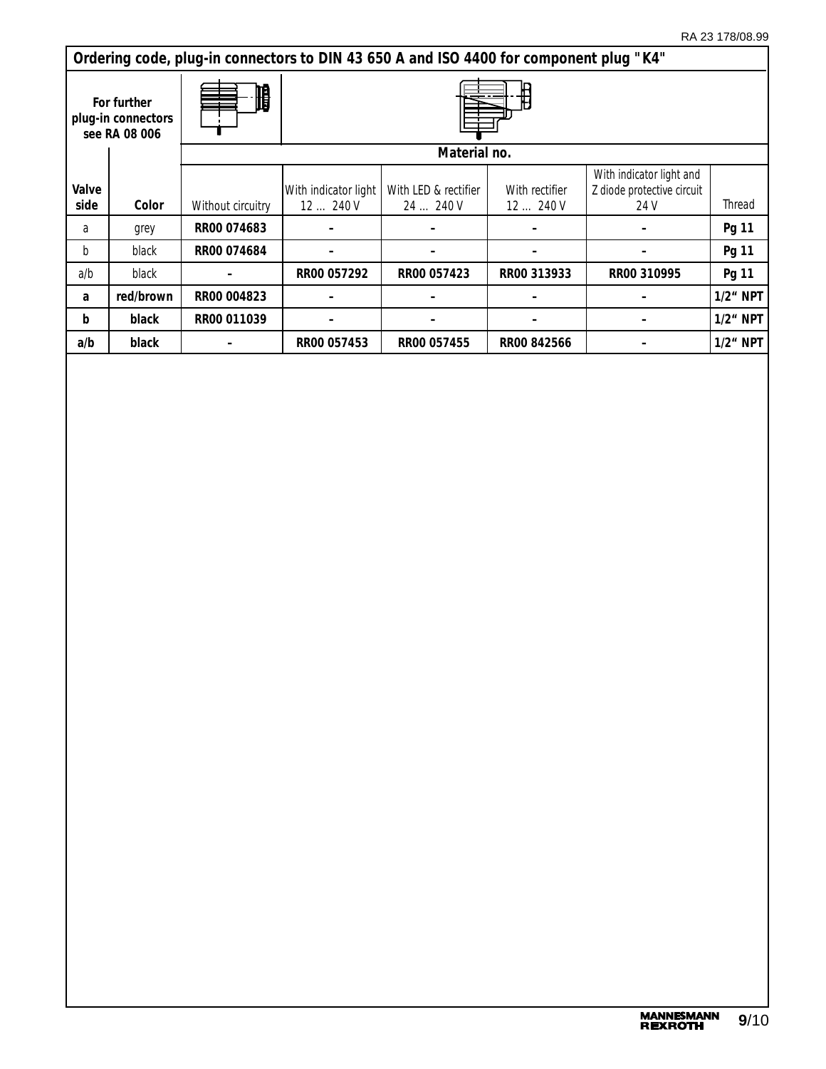|               | Ordering code, plug-in connectors to DIN 43 650 A and ISO 4400 for component plug "K4" |                   |                                |                                   |                          |                                                                |             |  |  |
|---------------|----------------------------------------------------------------------------------------|-------------------|--------------------------------|-----------------------------------|--------------------------|----------------------------------------------------------------|-------------|--|--|
|               | H<br>For further<br>plug-in connectors<br>see RA 08 006                                |                   |                                |                                   |                          |                                                                |             |  |  |
|               |                                                                                        |                   |                                | Material no.                      |                          |                                                                |             |  |  |
| Valve<br>side | Color                                                                                  | Without circuitry | With indicator light<br>12240V | With LED & rectifier<br>24  240 V | With rectifier<br>12240V | With indicator light and<br>Z diode protective circuit<br>24 V | Thread      |  |  |
| a             | grey                                                                                   | RR00 074683       |                                |                                   |                          |                                                                | Pg 11       |  |  |
| b             | black                                                                                  | RR00 074684       |                                |                                   |                          |                                                                | Pg 11       |  |  |
| a/b           | black                                                                                  |                   | RR00 057292                    | RR00 057423                       | RR00 313933              | RR00 310995                                                    | Pg 11       |  |  |
| a             | red/brown                                                                              | RR00 004823       |                                |                                   |                          |                                                                | $1/2$ " NPT |  |  |
| b             | black                                                                                  | RR00 011039       |                                |                                   |                          |                                                                | $1/2$ " NPT |  |  |
| a/b           | black                                                                                  |                   | RR00 057453                    | RR00 057455                       | RR00 842566              |                                                                | $1/2$ " NPT |  |  |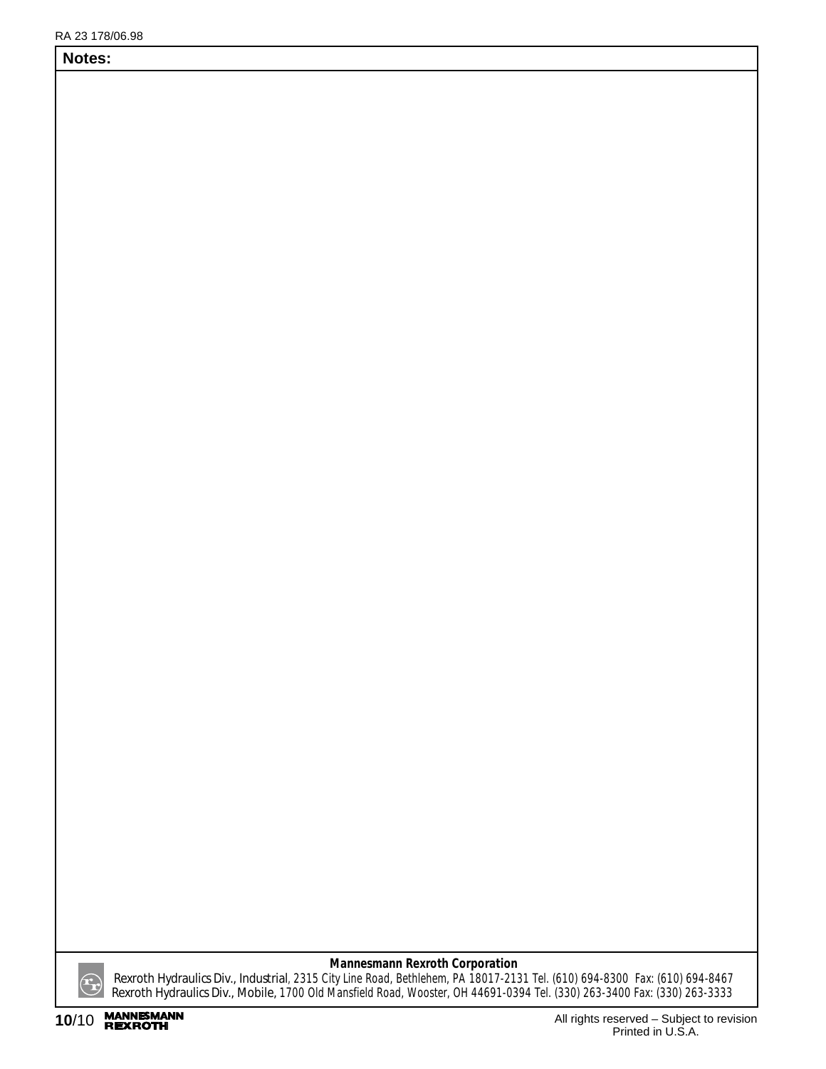# **Notes:**

*Rexroth Hydraulics Div., Industrial*, 2315 City Line Road, Bethlehem, PA 18017-2131 Tel. (610) 694-8300 Fax: (610) 694-8467 *Rexroth Hydraulics Div., Mobile,* 1700 Old Mansfield Road, Wooster, OH 44691-0394 Tel. (330) 263-3400 Fax: (330) 263-3333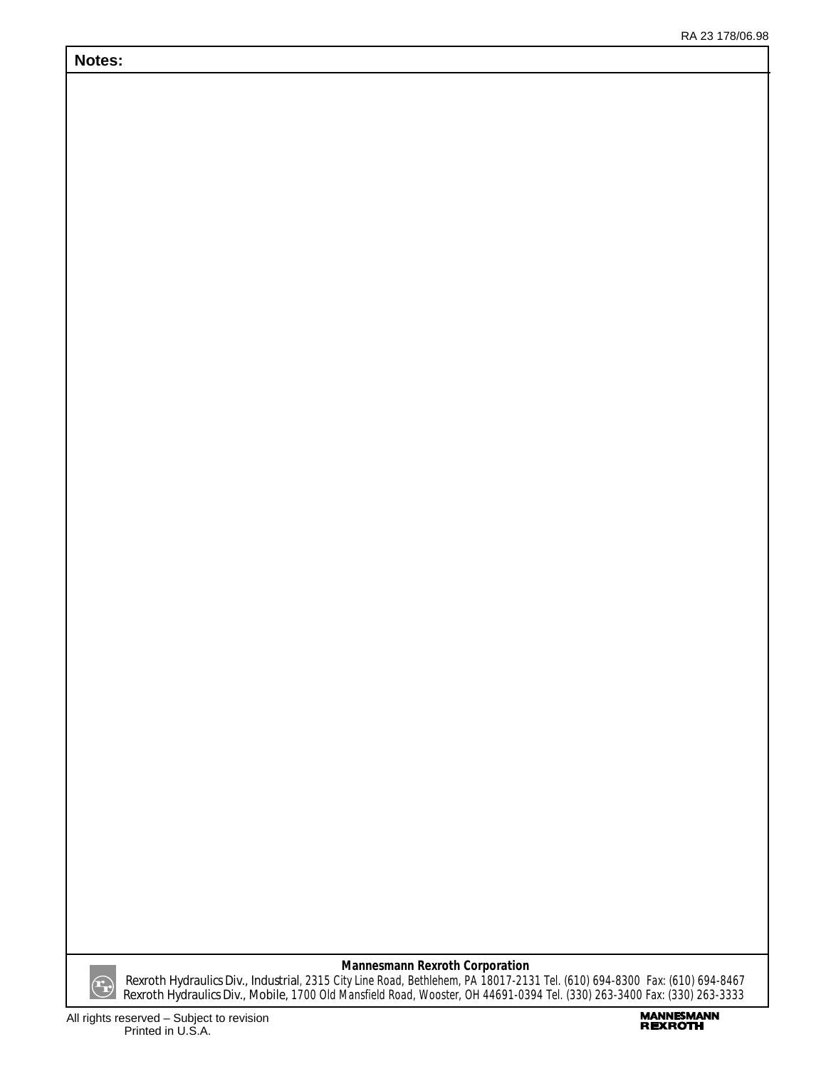# **Notes:**



# **Mannesmann Rexroth Corporation**

*Rexroth Hydraulics Div., Industrial*, 2315 City Line Road, Bethlehem, PA 18017-2131 Tel. (610) 694-8300 Fax: (610) 694-8467 *Rexroth Hydraulics Div., Mobile,* 1700 Old Mansfield Road, Wooster, OH 44691-0394 Tel. (330) 263-3400 Fax: (330) 263-3333